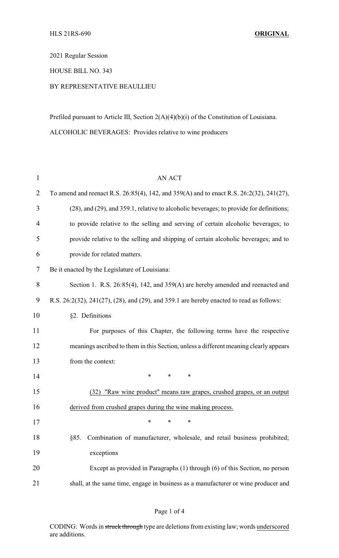2021 Regular Session

HOUSE BILL NO. 343

## BY REPRESENTATIVE BEAULLIEU

Prefiled pursuant to Article III, Section 2(A)(4)(b)(i) of the Constitution of Louisiana. ALCOHOLIC BEVERAGES: Provides relative to wine producers

| $\mathbf{1}$   | <b>AN ACT</b>                                                                            |
|----------------|------------------------------------------------------------------------------------------|
| $\overline{2}$ | To amend and reenact R.S. 26:85(4), 142, and 359(A) and to enact R.S. 26:2(32), 241(27), |
| 3              | (28), and (29), and 359.1, relative to alcoholic beverages; to provide for definitions;  |
| $\overline{4}$ | to provide relative to the selling and serving of certain alcoholic beverages; to        |
| 5              | provide relative to the selling and shipping of certain alcoholic beverages; and to      |
| 6              | provide for related matters.                                                             |
| 7              | Be it enacted by the Legislature of Louisiana:                                           |
| 8              | Section 1. R.S. 26:85(4), 142, and 359(A) are hereby amended and reenacted and           |
| 9              | R.S. 26:2(32), 241(27), (28), and (29), and 359.1 are hereby enacted to read as follows: |
| 10             | §2. Definitions                                                                          |
| 11             | For purposes of this Chapter, the following terms have the respective                    |
| 12             | meanings ascribed to them in this Section, unless a different meaning clearly appears    |
| 13             | from the context:                                                                        |
| 14             | ∗<br>*<br>*                                                                              |
| 15             | (32) "Raw wine product" means raw grapes, crushed grapes, or an output                   |
| 16             | derived from crushed grapes during the wine making process.                              |
| 17             | *<br>∗<br>∗                                                                              |
| 18             | Combination of manufacturer, wholesale, and retail business prohibited;<br>§85.          |
| 19             | exceptions                                                                               |
| 20             | Except as provided in Paragraphs (1) through (6) of this Section, no person              |
| 21             | shall, at the same time, engage in business as a manufacturer or wine producer and       |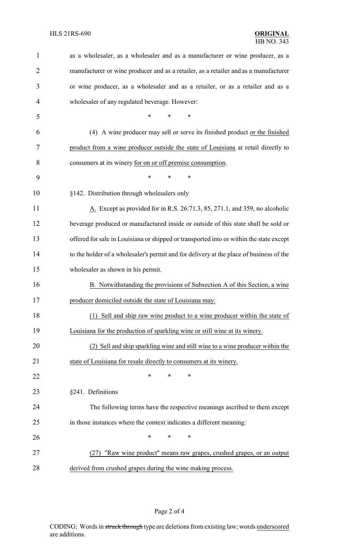| 1              | as a wholesaler, as a wholesaler and as a manufacturer or wine producer, as a           |  |  |
|----------------|-----------------------------------------------------------------------------------------|--|--|
| $\overline{2}$ | manufacturer or wine producer and as a retailer, as a retailer and as a manufacturer    |  |  |
| 3              | or wine producer, as a wholesaler and as a retailer, or as a retailer and as a          |  |  |
| 4              | wholesaler of any regulated beverage. However:                                          |  |  |
| 5              | *<br>$\ast$<br>$\ast$                                                                   |  |  |
| 6              | (4) A wine producer may sell or serve its finished product or the finished              |  |  |
| 7              | product from a wine producer outside the state of Louisiana at retail directly to       |  |  |
| 8              | consumers at its winery for on or off premise consumption.                              |  |  |
| 9              | $\ast$<br>*<br>$\ast$                                                                   |  |  |
| 10             | §142. Distribution through wholesalers only                                             |  |  |
| 11             | A. Except as provided for in R.S. 26:71.3, 85, 271.1, and 359, no alcoholic             |  |  |
| 12             | beverage produced or manufactured inside or outside of this state shall be sold or      |  |  |
| 13             | offered for sale in Louisiana or shipped or transported into or within the state except |  |  |
| 14             | to the holder of a wholesaler's permit and for delivery at the place of business of the |  |  |
| 15             | wholesaler as shown in his permit.                                                      |  |  |
| 16             | B. Notwithstanding the provisions of Subsection A of this Section, a wine               |  |  |
| 17             | producer domiciled outside the state of Louisiana may:                                  |  |  |
| 18             | (1) Sell and ship raw wine product to a wine producer within the state of               |  |  |
| 19             | Louisiana for the production of sparkling wine or still wine at its winery.             |  |  |
| 20             | (2) Sell and ship sparkling wine and still wine to a wine producer within the           |  |  |
| 21             | state of Louisiana for resale directly to consumers at its winery.                      |  |  |
| 22             | ∗<br>∗<br>∗                                                                             |  |  |
| 23             | §241. Definitions                                                                       |  |  |
| 24             | The following terms have the respective meanings ascribed to them except                |  |  |
| 25             | in those instances where the context indicates a different meaning:                     |  |  |
| 26             | $\ast$<br>*<br>*                                                                        |  |  |
| 27             | "Raw wine product" means raw grapes, crushed grapes, or an output<br>(27)               |  |  |
| 28             | derived from crushed grapes during the wine making process.                             |  |  |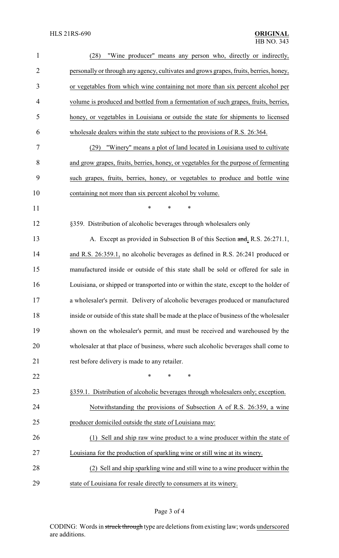| $\mathbf{1}$   | "Wine producer" means any person who, directly or indirectly,<br>(28)                    |
|----------------|------------------------------------------------------------------------------------------|
| $\overline{2}$ | personally or through any agency, cultivates and grows grapes, fruits, berries, honey,   |
| 3              | or vegetables from which wine containing not more than six percent alcohol per           |
| 4              | volume is produced and bottled from a fermentation of such grapes, fruits, berries,      |
| 5              | honey, or vegetables in Louisiana or outside the state for shipments to licensed         |
| 6              | wholesale dealers within the state subject to the provisions of R.S. 26:364.             |
| 7              | "Winery" means a plot of land located in Louisiana used to cultivate<br>(29)             |
| 8              | and grow grapes, fruits, berries, honey, or vegetables for the purpose of fermenting     |
| 9              | such grapes, fruits, berries, honey, or vegetables to produce and bottle wine            |
| 10             | containing not more than six percent alcohol by volume.                                  |
| 11             | $\ast$<br>*<br>*                                                                         |
| 12             | §359. Distribution of alcoholic beverages through wholesalers only                       |
| 13             | A. Except as provided in Subsection B of this Section and, R.S. 26:271.1,                |
| 14             | and R.S. 26:359.1, no alcoholic beverages as defined in R.S. 26:241 produced or          |
| 15             | manufactured inside or outside of this state shall be sold or offered for sale in        |
| 16             | Louisiana, or shipped or transported into or within the state, except to the holder of   |
| 17             | a wholesaler's permit. Delivery of alcoholic beverages produced or manufactured          |
| 18             | inside or outside of this state shall be made at the place of business of the wholesaler |
| 19             | shown on the wholesaler's permit, and must be received and warehoused by the             |
| 20             | wholesaler at that place of business, where such alcoholic beverages shall come to       |
| 21             | rest before delivery is made to any retailer.                                            |
| 22             | *<br>*<br>*                                                                              |
| 23             | §359.1. Distribution of alcoholic beverages through wholesalers only; exception.         |
| 24             | Notwithstanding the provisions of Subsection A of R.S. 26:359, a wine                    |
| 25             | producer domiciled outside the state of Louisiana may:                                   |
| 26             | (1) Sell and ship raw wine product to a wine producer within the state of                |
| 27             | Louisiana for the production of sparkling wine or still wine at its winery.              |
| 28             | (2) Sell and ship sparkling wine and still wine to a wine producer within the            |
| 29             | state of Louisiana for resale directly to consumers at its winery.                       |

## Page 3 of 4